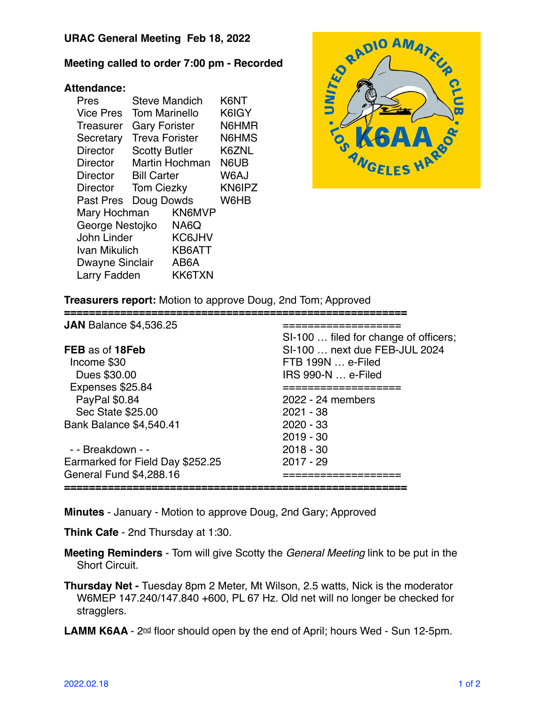## **URAC General Meeting Feb 18, 2022**

## **Meeting called to order 7:00 pm - Recorded**

## **Attendance:**

| Pres             | <b>Steve Mandich</b>  |        | K6NT   |
|------------------|-----------------------|--------|--------|
| <b>Vice Pres</b> | <b>Tom Marinello</b>  |        | K6IGY  |
| Treasurer        | <b>Gary Forister</b>  |        | N6HMR  |
| Secretary        | <b>Treva Forister</b> |        | N6HMS  |
| <b>Director</b>  | <b>Scotty Butler</b>  |        | K6ZNL  |
| Director         | Martin Hochman        |        | N6UB   |
| <b>Director</b>  | <b>Bill Carter</b>    |        | W6AJ   |
| <b>Director</b>  | <b>Tom Ciezky</b>     |        | KN6IPZ |
| Past Pres        | Doug Dowds            |        | W6HB   |
| Mary Hochman     |                       | KN6MVP |        |
| George Nestojko  |                       | NA6Q   |        |
| John Linder      |                       | KC6JHV |        |
| Ivan Mikulich    |                       | KB6ATT |        |
| Dwayne Sinclair  |                       | AB6A   |        |
| Larry Fadden     |                       | KK6TXN |        |



**Treasurers report:** Motion to approve Doug, 2nd Tom; Approved

| <b>JAN</b> Balance \$4,536.25    |                                       |  |
|----------------------------------|---------------------------------------|--|
|                                  | SI-100  filed for change of officers; |  |
| FEB as of 18Feb                  | SI-100  next due FEB-JUL 2024         |  |
| Income \$30                      | FTB 199N  e-Filed                     |  |
| Dues \$30.00                     | IRS 990-N  e-Filed                    |  |
| Expenses \$25.84                 |                                       |  |
| PayPal \$0.84                    | 2022 - 24 members                     |  |
| Sec State \$25.00                | 2021 - 38                             |  |
| <b>Bank Balance \$4,540.41</b>   | $2020 - 33$                           |  |
|                                  | $2019 - 30$                           |  |
| - - Breakdown - -                | $2018 - 30$                           |  |
| Earmarked for Field Day \$252.25 | $2017 - 29$                           |  |
| General Fund \$4,288.16          |                                       |  |
|                                  |                                       |  |

**Minutes** - January - Motion to approve Doug, 2nd Gary; Approved

**Think Cafe** - 2nd Thursday at 1:30.

**Meeting Reminders** - Tom will give Scotty the *General Meeting* link to be put in the Short Circuit.

**Thursday Net -** Tuesday 8pm 2 Meter, Mt Wilson, 2.5 watts, Nick is the moderator W6MEP 147.240/147.840 +600, PL 67 Hz. Old net will no longer be checked for stragglers.

LAMM K6AA - 2<sup>nd</sup> floor should open by the end of April; hours Wed - Sun 12-5pm.